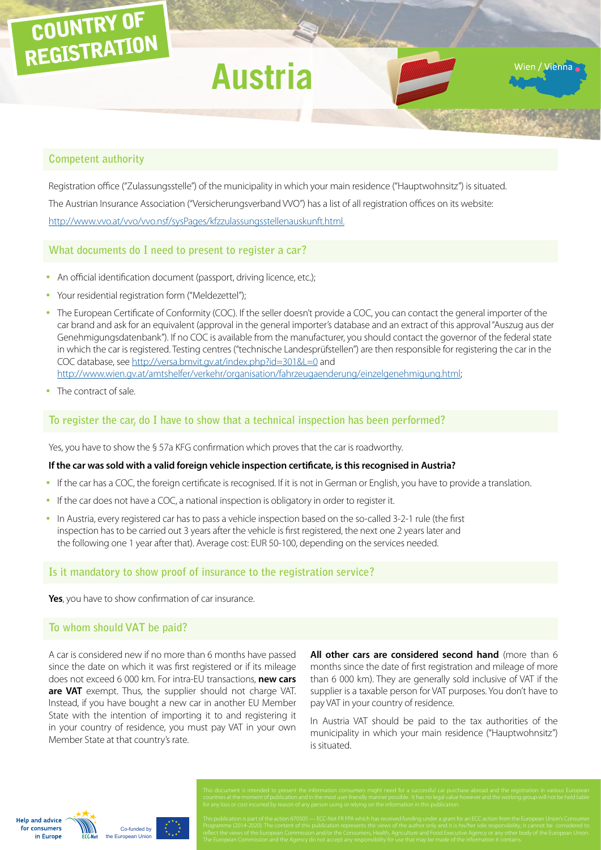# COUNTRY OF REGISTRATION

# **Austria**

Vien / Vienna

### **Competent authority**

[Registration](http://www.europe-consommateurs.eu/en/consumer-topics/on-the-road/buying-a-car/cross-border-car-purchase-and-registration/) office ("Zulassungsstelle") of the municipality in which your main residence ("Hauptwohnsitz") is situated. The Austrian Insurance Association ("Versicherungsverband VVO") has a list of all registration offices on its website: [http://www.vvo.at/vvo/vvo.nsf/sysPages/kfzzulassungsstellenauskunft.html.](http://www.vvo.at/vvo/vvo.nsf/sysPages/kfzzulassungsstellenauskunft.html)

**What documents do I need to present to register a car?**

- An official identification document (passport, driving licence, etc.);
- Your residential registration form ("Meldezettel");
- The European Certificate of Conformity (COC). If the seller doesn't provide a COC, you can contact the general importer of the car brand and ask for an equivalent (approval in the general importer's database and an extract of this approval "Auszug aus der Genehmigungsdatenbank"). If no COC is available from the manufacturer, you should contact the governor of the federal state in which the car is registered. Testing centres ("technische Landesprüfstellen") are then responsible for registering the car in the COC database, see [http://versa.bmvit.gv.at/index.php?id=301&L=0](http://www.vvo.at/vvo/vvo.nsf/sysPages/kfzzulassungsstellenauskunft.html) and [http://www.wien.gv.at/amtshelfer/verkehr/organisation/fahrzeugaenderung/einzelgenehmigung.html](https://www.wien.gv.at/amtshelfer/verkehr/fahrzeuge/aenderungen/einzelgenehmigung.html);
- The contract of sale.

### **To register the car, do I have to show that a technical inspection has been performed?**

Yes, you have to show the § 57a KFG confirmation which proves that the car is roadworthy.

#### **If the car was sold with a valid foreign vehicle inspection certificate, is this recognised in Austria?**

- If the car has a COC, the foreign certificate is recognised. If it is not in German or English, you have to provide a translation.
- If the car does not have a COC, a national inspection is obligatory in order to register it.
- In Austria, every registered car has to pass a vehicle inspection based on the so-called 3-2-1 rule (the first inspection has to be carried out 3 years after the vehicle is first registered, the next one 2 years later and the following one 1 year after that). Average cost: EUR 50-100, depending on the services needed.

#### **Is it mandatory to show proof of insurance to the registration service?**

**Yes**, you have to show confirmation of car insurance.

#### **To whom should VAT be paid?**

A car is considered new if no more than 6 months have passed since the date on which it was first registered or if its mileage does not exceed 6 000 km. For intra-EU transactions, **new cars are VAT** exempt. Thus, the supplier should not charge VAT. Instead, if you have bought a new car in another EU Member State with the intention of importing it to and registering it in your country of residence, you must pay VAT in your own Member State at that country's rate.

**All other cars are considered second hand** (more than 6 months since the date of first registration and mileage of more than 6 000 km). They are generally sold inclusive of VAT if the supplier is a taxable person for VAT purposes. You don't have to pay VAT in your country of residence.

In Austria VAT should be paid to the tax authorities of the municipality in which your main residence ("Hauptwohnsitz") is situated.